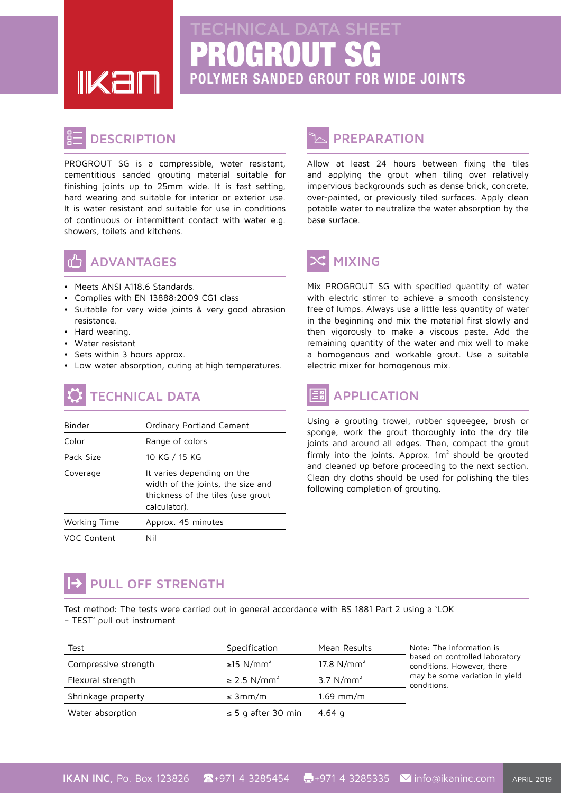PROGROUT SG **POLYMER SANDED GROUT FOR WIDE JOINTS** 

**IKal** 

#### **DESCRIPTION**

PROGROUT SG is a compressible, water resistant, cementitious sanded grouting material suitable for finishing joints up to 25mm wide. It is fast setting, hard wearing and suitable for interior or exterior use. It is water resistant and suitable for use in conditions of continuous or intermittent contact with water e.g. showers, toilets and kitchens.



#### **ADVANTAGES**

- Meets ANSI A118.6 Standards.
- Complies with EN 13888:2009 CG1 class
- Suitable for very wide joints & very good abrasion .resistance
- Hard wearing.
- Water resistant
- Sets within 3 hours approx.
- Low water absorption, curing at high temperatures.

# **TECHNICAL DATA**

| Binder       | Ordinary Portland Cement                                                                                             |  |  |
|--------------|----------------------------------------------------------------------------------------------------------------------|--|--|
| Color        | Range of colors                                                                                                      |  |  |
| Pack Size    | 10 KG / 15 KG                                                                                                        |  |  |
| Coverage     | It varies depending on the<br>width of the joints, the size and<br>thickness of the tiles (use grout<br>calculator). |  |  |
| Working Time | Approx. 45 minutes                                                                                                   |  |  |
| VOC Content  | Nil                                                                                                                  |  |  |

### **PREPARATION**

Allow at least 24 hours between fixing the tiles and applying the grout when tiling over relatively impervious backgrounds such as dense brick, concrete, over-painted, or previously tiled surfaces. Apply clean potable water to neutralize the water absorption by the base surface.

## **MIXING**

Mix PROGROUT SG with specified quantity of water with electric stirrer to achieve a smooth consistency free of lumps. Always use a little less quantity of water in the beginning and mix the material first slowly and then vigorously to make a viscous paste. Add the remaining quantity of the water and mix well to make a homogenous and workable grout. Use a suitable electric mixer for homogenous mix.

# **APPLICATION**

Using a grouting trowel, rubber squeegee, brush or sponge, work the grout thoroughly into the dry tile joints and around all edges. Then, compact the grout firmly into the joints. Approx.  $1m^2$  should be grouted and cleaned up before proceeding to the next section. Clean dry cloths should be used for polishing the tiles following completion of grouting.

# **PULL OFF STRENGTH**

Test method: The tests were carried out in general accordance with BS 1881 Part 2 using a 'LOK - TEST' pull out instrument

| Test                 | Specification                | Mean Results  | Note: The information is<br>based on controlled laboratory<br>conditions. However, there<br>may be some variation in yield<br>conditions. |
|----------------------|------------------------------|---------------|-------------------------------------------------------------------------------------------------------------------------------------------|
| Compressive strength | ≥15 N/mm <sup>2</sup>        | 17.8 $N/mm^2$ |                                                                                                                                           |
| Flexural strength    | $\geq$ 2.5 N/mm <sup>2</sup> | 3.7 $N/mm^2$  |                                                                                                                                           |
| Shrinkage property   | $\leq 3$ mm/m                | $1.69$ mm/m   |                                                                                                                                           |
| Water absorption     | $\leq$ 5 g after 30 min      | 4.64 q        |                                                                                                                                           |